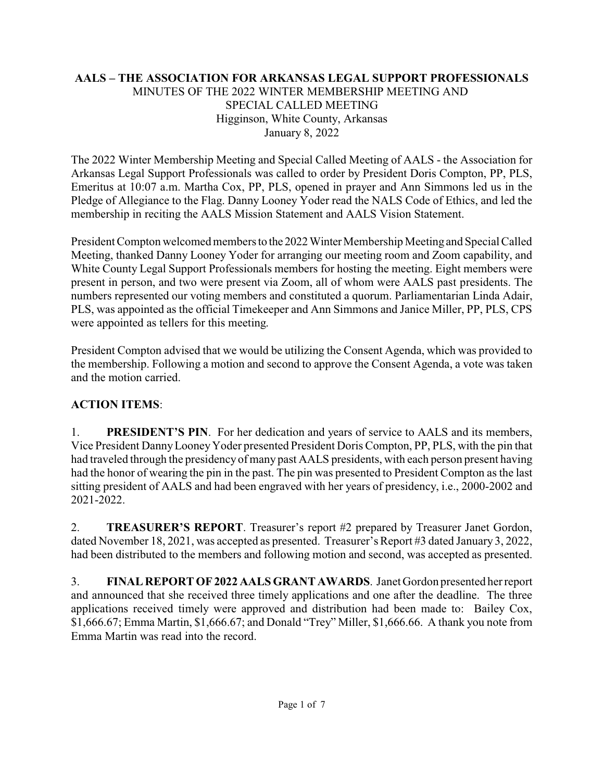### **AALS – THE ASSOCIATION FOR ARKANSAS LEGAL SUPPORT PROFESSIONALS** MINUTES OF THE 2022 WINTER MEMBERSHIP MEETING AND SPECIAL CALLED MEETING Higginson, White County, Arkansas January 8, 2022

The 2022 Winter Membership Meeting and Special Called Meeting of AALS - the Association for Arkansas Legal Support Professionals was called to order by President Doris Compton, PP, PLS, Emeritus at 10:07 a.m. Martha Cox, PP, PLS, opened in prayer and Ann Simmons led us in the Pledge of Allegiance to the Flag. Danny Looney Yoder read the NALS Code of Ethics, and led the membership in reciting the AALS Mission Statement and AALS Vision Statement.

President Compton welcomed members to the 2022 Winter Membership Meeting and Special Called Meeting, thanked Danny Looney Yoder for arranging our meeting room and Zoom capability, and White County Legal Support Professionals members for hosting the meeting. Eight members were present in person, and two were present via Zoom, all of whom were AALS past presidents. The numbers represented our voting members and constituted a quorum. Parliamentarian Linda Adair, PLS, was appointed as the official Timekeeper and Ann Simmons and Janice Miller, PP, PLS, CPS were appointed as tellers for this meeting.

President Compton advised that we would be utilizing the Consent Agenda, which was provided to the membership. Following a motion and second to approve the Consent Agenda, a vote was taken and the motion carried.

## **ACTION ITEMS**:

1. **PRESIDENT'S PIN**. For her dedication and years of service to AALS and its members, Vice President DannyLooneyYoder presented President Doris Compton, PP, PLS, with the pin that had traveled through the presidency of many past AALS presidents, with each person present having had the honor of wearing the pin in the past. The pin was presented to President Compton as the last sitting president of AALS and had been engraved with her years of presidency, i.e., 2000-2002 and 2021-2022.

2. **TREASURER'S REPORT**. Treasurer's report #2 prepared by Treasurer Janet Gordon, dated November 18, 2021, was accepted as presented. Treasurer's Report #3 dated January 3, 2022, had been distributed to the members and following motion and second, was accepted as presented.

3. **FINAL REPORT OF2022 AALS GRANT AWARDS**. Janet Gordon presented her report and announced that she received three timely applications and one after the deadline. The three applications received timely were approved and distribution had been made to: Bailey Cox, \$1,666.67; Emma Martin, \$1,666.67; and Donald "Trey" Miller, \$1,666.66. A thank you note from Emma Martin was read into the record.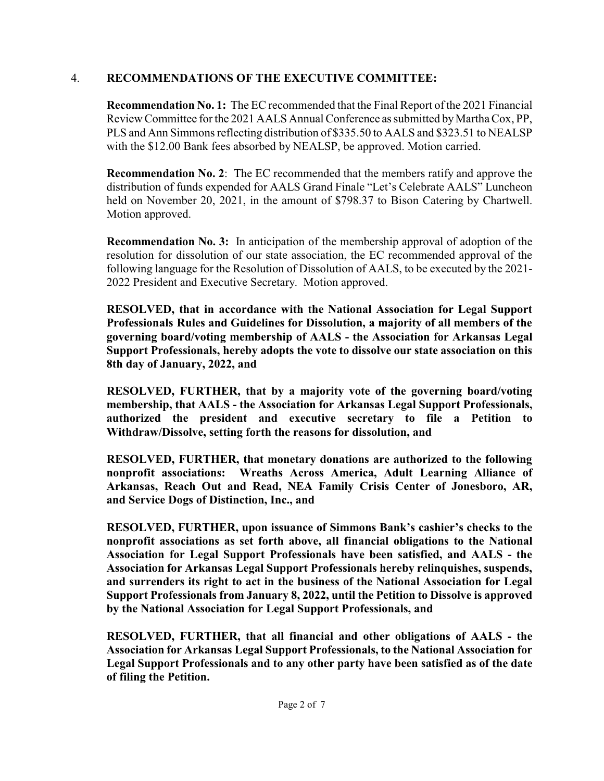## 4. **RECOMMENDATIONS OF THE EXECUTIVE COMMITTEE:**

**Recommendation No. 1:** The EC recommended that the Final Report of the 2021 Financial Review Committee for the 2021 AALS Annual Conference as submitted byMartha Cox, PP, PLS and Ann Simmons reflecting distribution of \$335.50 to AALS and \$323.51 to NEALSP with the \$12.00 Bank fees absorbed by NEALSP, be approved. Motion carried.

**Recommendation No. 2**: The EC recommended that the members ratify and approve the distribution of funds expended for AALS Grand Finale "Let's Celebrate AALS" Luncheon held on November 20, 2021, in the amount of \$798.37 to Bison Catering by Chartwell. Motion approved.

**Recommendation No. 3:** In anticipation of the membership approval of adoption of the resolution for dissolution of our state association, the EC recommended approval of the following language for the Resolution of Dissolution of AALS, to be executed by the 2021- 2022 President and Executive Secretary. Motion approved.

**RESOLVED, that in accordance with the National Association for Legal Support Professionals Rules and Guidelines for Dissolution, a majority of all members of the governing board/voting membership of AALS - the Association for Arkansas Legal Support Professionals, hereby adopts the vote to dissolve our state association on this 8th day of January, 2022, and**

**RESOLVED, FURTHER, that by a majority vote of the governing board/voting membership, that AALS - the Association for Arkansas Legal Support Professionals, authorized the president and executive secretary to file a Petition to Withdraw/Dissolve, setting forth the reasons for dissolution, and**

**RESOLVED, FURTHER, that monetary donations are authorized to the following nonprofit associations: Wreaths Across America, Adult Learning Alliance of Arkansas, Reach Out and Read, NEA Family Crisis Center of Jonesboro, AR, and Service Dogs of Distinction, Inc., and**

**RESOLVED, FURTHER, upon issuance of Simmons Bank's cashier's checks to the nonprofit associations as set forth above, all financial obligations to the National Association for Legal Support Professionals have been satisfied, and AALS - the Association for Arkansas Legal Support Professionals hereby relinquishes, suspends, and surrenders its right to act in the business of the National Association for Legal Support Professionals from January 8, 2022, until the Petition to Dissolve is approved by the National Association for Legal Support Professionals, and**

**RESOLVED, FURTHER, that all financial and other obligations of AALS - the Association for Arkansas Legal Support Professionals, to the National Association for Legal Support Professionals and to any other party have been satisfied as of the date of filing the Petition.**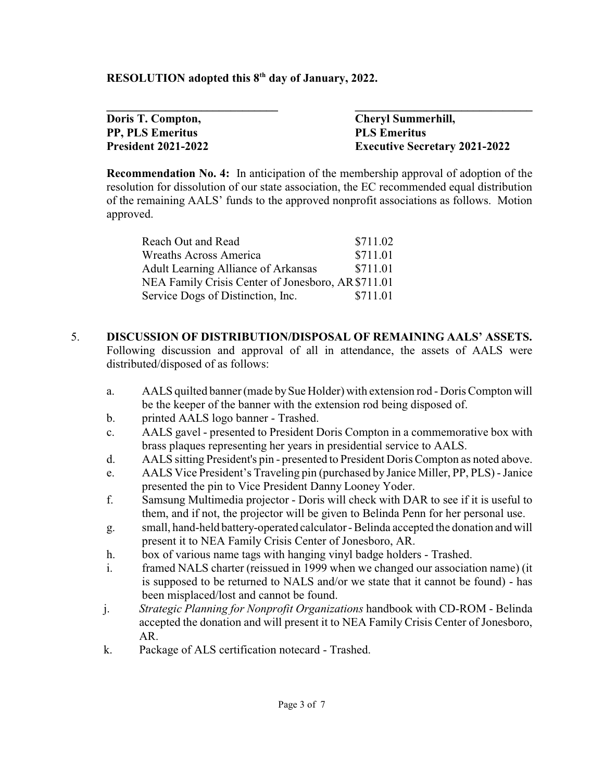RESOLUTION adopted this 8<sup>th</sup> day of January, 2022.

**Doris T. Compton, Cheryl Summerhill, PP, PLS Emeritus PLS Emeritus**

**President 2021-2022 Executive Secretary 2021-2022**

**Recommendation No. 4:** In anticipation of the membership approval of adoption of the resolution for dissolution of our state association, the EC recommended equal distribution of the remaining AALS' funds to the approved nonprofit associations as follows. Motion approved.

**\_\_\_\_\_\_\_\_\_\_\_\_\_\_\_\_\_\_\_\_\_\_\_\_\_\_\_\_\_ \_\_\_\_\_\_\_\_\_\_\_\_\_\_\_\_\_\_\_\_\_\_\_\_\_\_\_\_\_\_**

| Reach Out and Read                                | \$711.02 |
|---------------------------------------------------|----------|
| <b>Wreaths Across America</b>                     | \$711.01 |
| <b>Adult Learning Alliance of Arkansas</b>        | \$711.01 |
| NEA Family Crisis Center of Jonesboro, AR\$711.01 |          |
| Service Dogs of Distinction, Inc.                 | \$711.01 |

- 5. **DISCUSSION OF DISTRIBUTION/DISPOSAL OF REMAINING AALS' ASSETS.** Following discussion and approval of all in attendance, the assets of AALS were distributed/disposed of as follows:
	- a. AALS quilted banner (made bySue Holder) with extension rod Doris Compton will be the keeper of the banner with the extension rod being disposed of.
	- b. printed AALS logo banner Trashed.
	- c. AALS gavel presented to President Doris Compton in a commemorative box with brass plaques representing her years in presidential service to AALS.
	- d. AALS sitting President's pin presented to President Doris Compton as noted above.
	- e. AALS Vice President's Traveling pin (purchased by Janice Miller, PP, PLS) Janice presented the pin to Vice President Danny Looney Yoder.
	- f. Samsung Multimedia projector Doris will check with DAR to see if it is useful to them, and if not, the projector will be given to Belinda Penn for her personal use.
	- g. small, hand-held battery-operated calculator Belinda accepted the donation and will present it to NEA Family Crisis Center of Jonesboro, AR.
	- h. box of various name tags with hanging vinyl badge holders Trashed.
	- i. framed NALS charter (reissued in 1999 when we changed our association name) (it is supposed to be returned to NALS and/or we state that it cannot be found) - has been misplaced/lost and cannot be found.
	- j. *Strategic Planning for Nonprofit Organizations* handbook with CD-ROM Belinda accepted the donation and will present it to NEA Family Crisis Center of Jonesboro, AR.
	- k. Package of ALS certification notecard Trashed.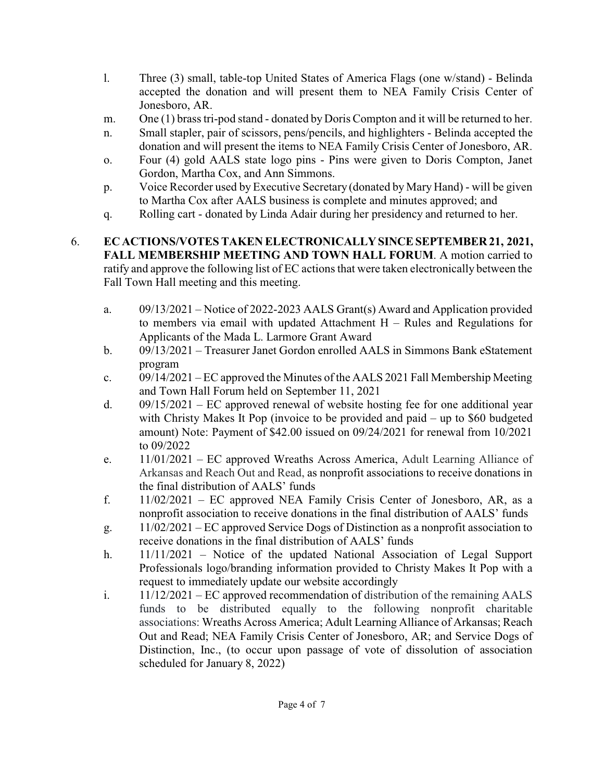- l. Three (3) small, table-top United States of America Flags (one w/stand) Belinda accepted the donation and will present them to NEA Family Crisis Center of Jonesboro, AR.
- m. One (1) brass tri-pod stand donated by Doris Compton and it will be returned to her.
- n. Small stapler, pair of scissors, pens/pencils, and highlighters Belinda accepted the donation and will present the items to NEA Family Crisis Center of Jonesboro, AR.
- o. Four (4) gold AALS state logo pins Pins were given to Doris Compton, Janet Gordon, Martha Cox, and Ann Simmons.
- p. Voice Recorder used by Executive Secretary (donated by Mary Hand) will be given to Martha Cox after AALS business is complete and minutes approved; and
- q. Rolling cart donated by Linda Adair during her presidency and returned to her.
- 6. **EC ACTIONS/VOTES TAKEN ELECTRONICALLYSINCESEPTEMBER 21, 2021, FALL MEMBERSHIP MEETING AND TOWN HALL FORUM**. A motion carried to ratify and approve the following list of EC actions that were taken electronically between the Fall Town Hall meeting and this meeting.
	- a. 09/13/2021 Notice of 2022-2023 AALS Grant(s) Award and Application provided to members via email with updated Attachment H – Rules and Regulations for Applicants of the Mada L. Larmore Grant Award
	- b. 09/13/2021 Treasurer Janet Gordon enrolled AALS in Simmons Bank eStatement program
	- c. 09/14/2021 EC approved the Minutes of the AALS 2021 Fall Membership Meeting and Town Hall Forum held on September 11, 2021
	- d. 09/15/2021 EC approved renewal of website hosting fee for one additional year with Christy Makes It Pop (invoice to be provided and paid – up to \$60 budgeted amount) Note: Payment of \$42.00 issued on 09/24/2021 for renewal from 10/2021 to 09/2022
	- e. 11/01/2021 EC approved Wreaths Across America, Adult Learning Alliance of Arkansas and Reach Out and Read, as nonprofit associations to receive donations in the final distribution of AALS' funds
	- f. 11/02/2021 EC approved NEA Family Crisis Center of Jonesboro, AR, as a nonprofit association to receive donations in the final distribution of AALS' funds
	- g. 11/02/2021 EC approved Service Dogs of Distinction as a nonprofit association to receive donations in the final distribution of AALS' funds
	- h. 11/11/2021 Notice of the updated National Association of Legal Support Professionals logo/branding information provided to Christy Makes It Pop with a request to immediately update our website accordingly
	- i. 11/12/2021 EC approved recommendation of distribution of the remaining AALS funds to be distributed equally to the following nonprofit charitable associations: Wreaths Across America; Adult Learning Alliance of Arkansas; Reach Out and Read; NEA Family Crisis Center of Jonesboro, AR; and Service Dogs of Distinction, Inc., (to occur upon passage of vote of dissolution of association scheduled for January 8, 2022)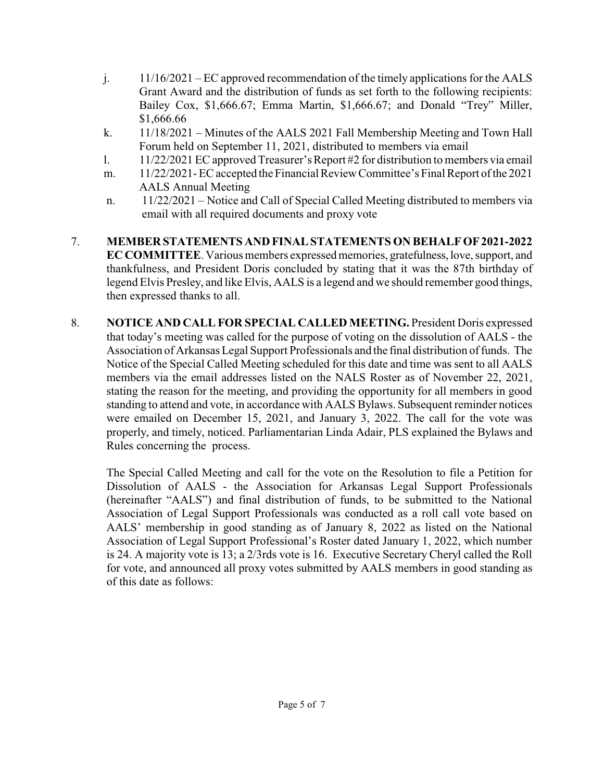- j. 11/16/2021 EC approved recommendation of the timely applications for the AALS Grant Award and the distribution of funds as set forth to the following recipients: Bailey Cox, \$1,666.67; Emma Martin, \$1,666.67; and Donald "Trey" Miller, \$1,666.66
- k. 11/18/2021 Minutes of the AALS 2021 Fall Membership Meeting and Town Hall Forum held on September 11, 2021, distributed to members via email
- l. 11/22/2021 EC approved Treasurer's Report #2 for distribution to members via email
- m. 11/22/2021- EC accepted the Financial Review Committee's Final Report of the 2021 AALS Annual Meeting
- n. 11/22/2021 Notice and Call of Special Called Meeting distributed to members via email with all required documents and proxy vote
- 7. **MEMBER STATEMENTS AND FINAL STATEMENTS ON BEHALFOF2021-2022 EC COMMITTEE**. Various members expressed memories, gratefulness, love, support, and thankfulness, and President Doris concluded by stating that it was the 87th birthday of legend Elvis Presley, and like Elvis, AALS is a legend and we should remember good things, then expressed thanks to all.
- 8. **NOTICE AND CALL FOR SPECIAL CALLED MEETING.** President Doris expressed that today's meeting was called for the purpose of voting on the dissolution of AALS - the Association of Arkansas Legal Support Professionals and the final distribution of funds. The Notice of the Special Called Meeting scheduled for this date and time was sent to all AALS members via the email addresses listed on the NALS Roster as of November 22, 2021, stating the reason for the meeting, and providing the opportunity for all members in good standing to attend and vote, in accordance with AALS Bylaws. Subsequent reminder notices were emailed on December 15, 2021, and January 3, 2022. The call for the vote was properly, and timely, noticed. Parliamentarian Linda Adair, PLS explained the Bylaws and Rules concerning the process.

The Special Called Meeting and call for the vote on the Resolution to file a Petition for Dissolution of AALS - the Association for Arkansas Legal Support Professionals (hereinafter "AALS") and final distribution of funds, to be submitted to the National Association of Legal Support Professionals was conducted as a roll call vote based on AALS' membership in good standing as of January 8, 2022 as listed on the National Association of Legal Support Professional's Roster dated January 1, 2022, which number is 24. A majority vote is 13; a 2/3rds vote is 16. Executive Secretary Cheryl called the Roll for vote, and announced all proxy votes submitted by AALS members in good standing as of this date as follows: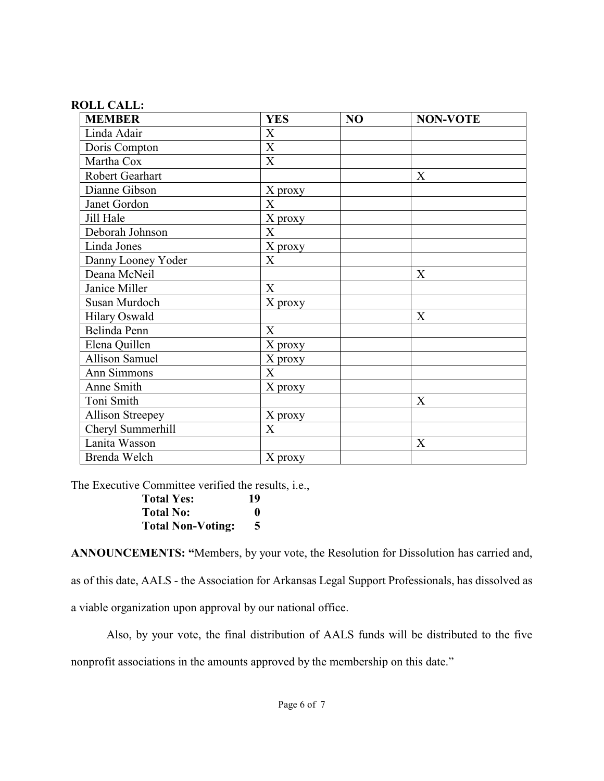#### **ROLL CALL:**

| <b>MEMBER</b>           | <b>YES</b>       | NO | <b>NON-VOTE</b> |
|-------------------------|------------------|----|-----------------|
| Linda Adair             | X                |    |                 |
| Doris Compton           | X                |    |                 |
| Martha Cox              | X                |    |                 |
| Robert Gearhart         |                  |    | X               |
| Dianne Gibson           | X proxy          |    |                 |
| Janet Gordon            | X                |    |                 |
| Jill Hale               | X proxy          |    |                 |
| Deborah Johnson         | X                |    |                 |
| Linda Jones             | X proxy          |    |                 |
| Danny Looney Yoder      | X                |    |                 |
| Deana McNeil            |                  |    | X               |
| Janice Miller           | X                |    |                 |
| Susan Murdoch           | X proxy          |    |                 |
| <b>Hilary Oswald</b>    |                  |    | X               |
| Belinda Penn            | X                |    |                 |
| Elena Quillen           | X proxy          |    |                 |
| <b>Allison Samuel</b>   | X proxy          |    |                 |
| Ann Simmons             | $\boldsymbol{X}$ |    |                 |
| Anne Smith              | X proxy          |    |                 |
| Toni Smith              |                  |    | X               |
| <b>Allison Streepey</b> | X proxy          |    |                 |
| Cheryl Summerhill       | X                |    |                 |
| Lanita Wasson           |                  |    | X               |
| Brenda Welch            | X proxy          |    |                 |

The Executive Committee verified the results, i.e.,

| <b>Total Yes:</b>        | 19 |
|--------------------------|----|
| <b>Total No:</b>         | 0  |
| <b>Total Non-Voting:</b> | 5  |

**ANNOUNCEMENTS: "**Members, by your vote, the Resolution for Dissolution has carried and,

as of this date, AALS - the Association for Arkansas Legal Support Professionals, has dissolved as

a viable organization upon approval by our national office.

Also, by your vote, the final distribution of AALS funds will be distributed to the five nonprofit associations in the amounts approved by the membership on this date."